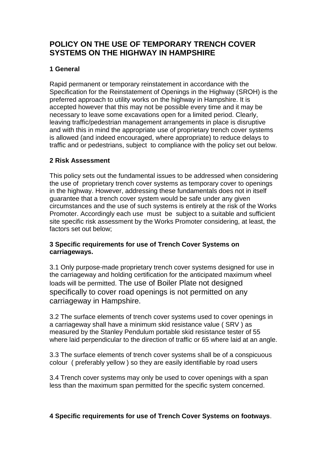# **POLICY ON THE USE OF TEMPORARY TRENCH COVER SYSTEMS ON THE HIGHWAY IN HAMPSHIRE**

# **1 General**

Rapid permanent or temporary reinstatement in accordance with the Specification for the Reinstatement of Openings in the Highway (SROH) is the preferred approach to utility works on the highway in Hampshire. It is accepted however that this may not be possible every time and it may be necessary to leave some excavations open for a limited period. Clearly, leaving traffic/pedestrian management arrangements in place is disruptive and with this in mind the appropriate use of proprietary trench cover systems is allowed (and indeed encouraged, where appropriate) to reduce delays to traffic and or pedestrians, subject to compliance with the policy set out below.

# **2 Risk Assessment**

This policy sets out the fundamental issues to be addressed when considering the use of proprietary trench cover systems as temporary cover to openings in the highway. However, addressing these fundamentals does not in itself guarantee that a trench cover system would be safe under any given circumstances and the use of such systems is entirely at the risk of the Works Promoter. Accordingly each use must be subject to a suitable and sufficient site specific risk assessment by the Works Promoter considering, at least, the factors set out below;

#### **3 Specific requirements for use of Trench Cover Systems on carriageways.**

3.1 Only purpose-made proprietary trench cover systems designed for use in the carriageway and holding certification for the anticipated maximum wheel loads will be permitted. The use of Boiler Plate not designed specifically to cover road openings is not permitted on any carriageway in Hampshire.

3.2 The surface elements of trench cover systems used to cover openings in a carriageway shall have a minimum skid resistance value ( SRV ) as measured by the Stanley Pendulum portable skid resistance tester of 55 where laid perpendicular to the direction of traffic or 65 where laid at an angle.

3.3 The surface elements of trench cover systems shall be of a conspicuous colour ( preferably yellow ) so they are easily identifiable by road users

3.4 Trench cover systems may only be used to cover openings with a span less than the maximum span permitted for the specific system concerned.

# **4 Specific requirements for use of Trench Cover Systems on footways**.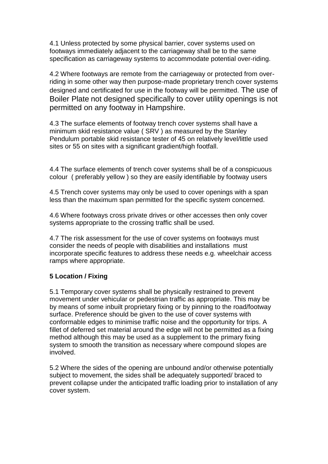4.1 Unless protected by some physical barrier, cover systems used on footways immediately adjacent to the carriageway shall be to the same specification as carriageway systems to accommodate potential over-riding.

4.2 Where footways are remote from the carriageway or protected from overriding in some other way then purpose-made proprietary trench cover systems designed and certificated for use in the footway will be permitted. The use of Boiler Plate not designed specifically to cover utility openings is not permitted on any footway in Hampshire.

4.3 The surface elements of footway trench cover systems shall have a minimum skid resistance value ( SRV ) as measured by the Stanley Pendulum portable skid resistance tester of 45 on relatively level/little used sites or 55 on sites with a significant gradient/high footfall.

4.4 The surface elements of trench cover systems shall be of a conspicuous colour ( preferably yellow ) so they are easily identifiable by footway users

4.5 Trench cover systems may only be used to cover openings with a span less than the maximum span permitted for the specific system concerned.

4.6 Where footways cross private drives or other accesses then only cover systems appropriate to the crossing traffic shall be used.

4.7 The risk assessment for the use of cover systems on footways must consider the needs of people with disabilities and installations must incorporate specific features to address these needs e.g. wheelchair access ramps where appropriate.

# **5 Location / Fixing**

5.1 Temporary cover systems shall be physically restrained to prevent movement under vehicular or pedestrian traffic as appropriate. This may be by means of some inbuilt proprietary fixing or by pinning to the road/footway surface. Preference should be given to the use of cover systems with conformable edges to minimise traffic noise and the opportunity for trips. A fillet of deferred set material around the edge will not be permitted as a fixing method although this may be used as a supplement to the primary fixing system to smooth the transition as necessary where compound slopes are involved.

5.2 Where the sides of the opening are unbound and/or otherwise potentially subject to movement, the sides shall be adequately supported/ braced to prevent collapse under the anticipated traffic loading prior to installation of any cover system.